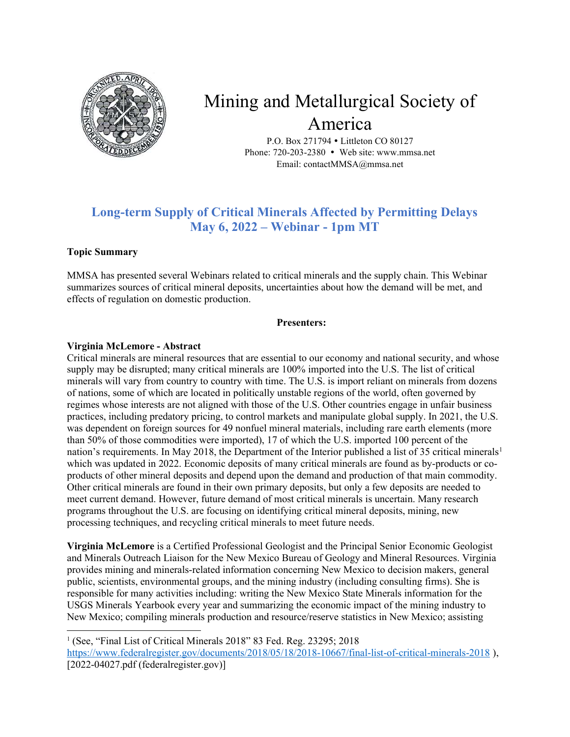

# Mining and Metallurgical Society of America

P.O. Box 271794 Littleton CO 80127 Phone: 720-203-2380 • Web site: www.mmsa.net Email: contactMMSA@mmsa.net

# Long-term Supply of Critical Minerals Affected by Permitting Delays May 6, 2022 – Webinar - 1pm MT

## Topic Summary

MMSA has presented several Webinars related to critical minerals and the supply chain. This Webinar summarizes sources of critical mineral deposits, uncertainties about how the demand will be met, and effects of regulation on domestic production.

### Presenters:

### Virginia McLemore - Abstract

Critical minerals are mineral resources that are essential to our economy and national security, and whose supply may be disrupted; many critical minerals are 100% imported into the U.S. The list of critical minerals will vary from country to country with time. The U.S. is import reliant on minerals from dozens of nations, some of which are located in politically unstable regions of the world, often governed by regimes whose interests are not aligned with those of the U.S. Other countries engage in unfair business practices, including predatory pricing, to control markets and manipulate global supply. In 2021, the U.S. was dependent on foreign sources for 49 nonfuel mineral materials, including rare earth elements (more than 50% of those commodities were imported), 17 of which the U.S. imported 100 percent of the nation's requirements. In May 2018, the Department of the Interior published a list of 35 critical minerals<sup>1</sup> which was updated in 2022. Economic deposits of many critical minerals are found as by-products or coproducts of other mineral deposits and depend upon the demand and production of that main commodity. Other critical minerals are found in their own primary deposits, but only a few deposits are needed to meet current demand. However, future demand of most critical minerals is uncertain. Many research programs throughout the U.S. are focusing on identifying critical mineral deposits, mining, new processing techniques, and recycling critical minerals to meet future needs.

Virginia McLemore is a Certified Professional Geologist and the Principal Senior Economic Geologist and Minerals Outreach Liaison for the New Mexico Bureau of Geology and Mineral Resources. Virginia provides mining and minerals-related information concerning New Mexico to decision makers, general public, scientists, environmental groups, and the mining industry (including consulting firms). She is responsible for many activities including: writing the New Mexico State Minerals information for the USGS Minerals Yearbook every year and summarizing the economic impact of the mining industry to New Mexico; compiling minerals production and resource/reserve statistics in New Mexico; assisting

<sup>1</sup> (See, "Final List of Critical Minerals 2018" 83 Fed. Reg. 23295; 2018 https://www.federalregister.gov/documents/2018/05/18/2018-10667/final-list-of-critical-minerals-2018 ), [2022-04027.pdf (federalregister.gov)]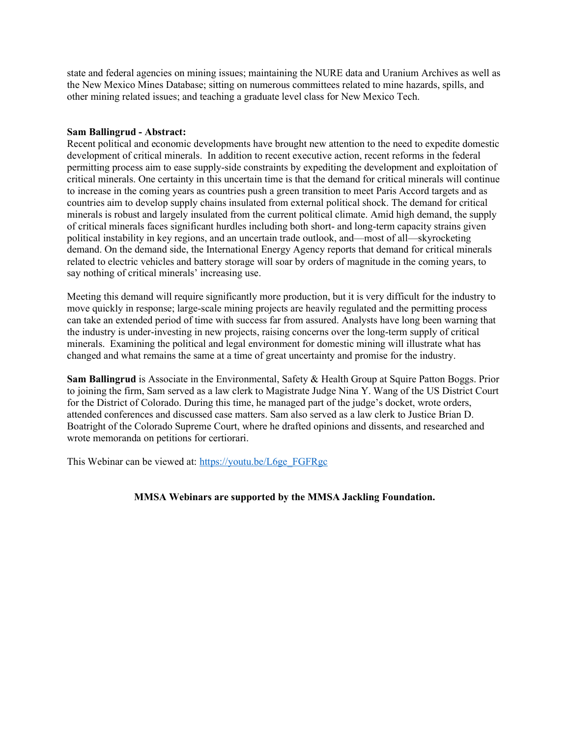state and federal agencies on mining issues; maintaining the NURE data and Uranium Archives as well as the New Mexico Mines Database; sitting on numerous committees related to mine hazards, spills, and other mining related issues; and teaching a graduate level class for New Mexico Tech.

#### Sam Ballingrud - Abstract:

Recent political and economic developments have brought new attention to the need to expedite domestic development of critical minerals. In addition to recent executive action, recent reforms in the federal permitting process aim to ease supply-side constraints by expediting the development and exploitation of critical minerals. One certainty in this uncertain time is that the demand for critical minerals will continue to increase in the coming years as countries push a green transition to meet Paris Accord targets and as countries aim to develop supply chains insulated from external political shock. The demand for critical minerals is robust and largely insulated from the current political climate. Amid high demand, the supply of critical minerals faces significant hurdles including both short- and long-term capacity strains given political instability in key regions, and an uncertain trade outlook, and—most of all—skyrocketing demand. On the demand side, the International Energy Agency reports that demand for critical minerals related to electric vehicles and battery storage will soar by orders of magnitude in the coming years, to say nothing of critical minerals' increasing use.

Meeting this demand will require significantly more production, but it is very difficult for the industry to move quickly in response; large-scale mining projects are heavily regulated and the permitting process can take an extended period of time with success far from assured. Analysts have long been warning that the industry is under-investing in new projects, raising concerns over the long-term supply of critical minerals. Examining the political and legal environment for domestic mining will illustrate what has changed and what remains the same at a time of great uncertainty and promise for the industry.

Sam Ballingrud is Associate in the Environmental, Safety & Health Group at Squire Patton Boggs. Prior to joining the firm, Sam served as a law clerk to Magistrate Judge Nina Y. Wang of the US District Court for the District of Colorado. During this time, he managed part of the judge's docket, wrote orders, attended conferences and discussed case matters. Sam also served as a law clerk to Justice Brian D. Boatright of the Colorado Supreme Court, where he drafted opinions and dissents, and researched and wrote memoranda on petitions for certiorari.

This Webinar can be viewed at: https://youtu.be/L6ge\_FGFRgc

## MMSA Webinars are supported by the MMSA Jackling Foundation.